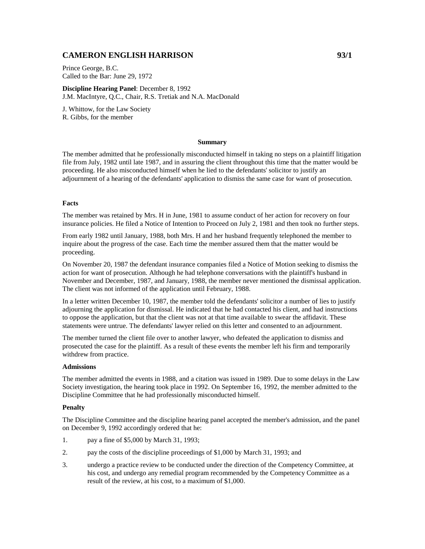# **CAMERON ENGLISH HARRISON 93/1**

Prince George, B.C. Called to the Bar: June 29, 1972

**Discipline Hearing Panel**: December 8, 1992 J.M. MacIntyre, Q.C., Chair, R.S. Tretiak and N.A. MacDonald

J. Whittow, for the Law Society R. Gibbs, for the member

# **Summary**

The member admitted that he professionally misconducted himself in taking no steps on a plaintiff litigation file from July, 1982 until late 1987, and in assuring the client throughout this time that the matter would be proceeding. He also misconducted himself when he lied to the defendants' solicitor to justify an adjournment of a hearing of the defendants' application to dismiss the same case for want of prosecution.

# **Facts**

The member was retained by Mrs. H in June, 1981 to assume conduct of her action for recovery on four insurance policies. He filed a Notice of Intention to Proceed on July 2, 1981 and then took no further steps.

From early 1982 until January, 1988, both Mrs. H and her husband frequently telephoned the member to inquire about the progress of the case. Each time the member assured them that the matter would be proceeding.

On November 20, 1987 the defendant insurance companies filed a Notice of Motion seeking to dismiss the action for want of prosecution. Although he had telephone conversations with the plaintiff's husband in November and December, 1987, and January, 1988, the member never mentioned the dismissal application. The client was not informed of the application until February, 1988.

In a letter written December 10, 1987, the member told the defendants' solicitor a number of lies to justify adjourning the application for dismissal. He indicated that he had contacted his client, and had instructions to oppose the application, but that the client was not at that time available to swear the affidavit. These statements were untrue. The defendants' lawyer relied on this letter and consented to an adjournment.

The member turned the client file over to another lawyer, who defeated the application to dismiss and prosecuted the case for the plaintiff. As a result of these events the member left his firm and temporarily withdrew from practice.

### **Admissions**

The member admitted the events in 1988, and a citation was issued in 1989. Due to some delays in the Law Society investigation, the hearing took place in 1992. On September 16, 1992, the member admitted to the Discipline Committee that he had professionally misconducted himself.

### **Penalty**

The Discipline Committee and the discipline hearing panel accepted the member's admission, and the panel on December 9, 1992 accordingly ordered that he:

- 1. pay a fine of \$5,000 by March 31, 1993;
- 2. pay the costs of the discipline proceedings of \$1,000 by March 31, 1993; and
- 3. undergo a practice review to be conducted under the direction of the Competency Committee, at his cost, and undergo any remedial program recommended by the Competency Committee as a result of the review, at his cost, to a maximum of \$1,000.